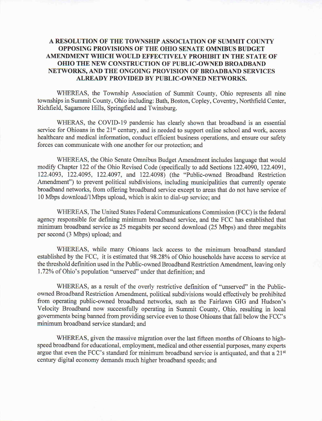## A RESOLUTION OF THE TOWNSHIP ASSOCIATION OF SUMMIT COUNTY OPPOSING PROVISIONS OF THE OHIO SENATE OMNIBUS BUDGET AMENDMENT WHICH WOULD EFFECTIVELY PROHIBIT IN THE STATE OF OHIO THE NEW CONSTRUCTION OF PUBLIC-OWNED BROADBAND NETWORKS, AND THE ONGOING PROVISION OF BROADBAND SERVICES ALREADY PROVIDED BY PUBLIC -OWNED NETWORKS.

WHEREAS, the Township Association of Summit County, Ohio represents all nine townships in Summit County, Ohio including: Bath, Boston, Copley , Coventry, Northfield Center, Richfield, Sagamore Hills, Springfield and Twinsburg.

WHERAS, the COVID-19 pandemic has clearly shown that broadband is an essential service for Ohioans in the 21<sup>st</sup> century, and is needed to support online school and work, access healthcare and medical information, conduct efficient business operations, and ensure our safety forces can communicate with one another for our protection; and

WHEREAS, the Ohio Senate Omnibus Budget Amendment includes language that would modify Chapter 122 of the Ohio Revised Code (specifically to add Sections 122.4090, 122.4091, 122.4093, 122.4095, 122.4097, and 122.4098) (the "Public-owned Broadband Restriction Amendment") to prevent political subdivisions, including municipalities that currently operate broadband networks, from offering broadband service except to areas that do not have service of 10 Mbps download/1Mbps upload, which is akin to dial-up service; and

WHEREAS, The United States Federal Communications Commission (FCC) is the federal agency responsible for defining minimum broadband service, and the FCC has established that minimum broadband service as 25 megabits per second download (25 Mbps) and three megabits per second (3 Mbps) upload; and

WHEREAS, while many Ohioans lack access to the minimum broadband standard established by the FCC, it is estimated that 98.28% of Ohio households have access to service at the threshold definition used in the Public -owned Broadband Restriction Amendment, leaving only 1.72% of Ohio's population "unserved" under that definition; and

WHEREAS, as a result of the overly restrictive definition of "unserved" in the Publicowned Broadband Restriction Amendment, political subdivisions would effectively be prohibited from operating public-owned broadband networks, such as the Fairlawn GIG and Hudson's Velocity Broadband now successfully operating in Summit County, Ohio, resulting in local governments being banned from providing service even to those Ohioans that fall below the FCC's minimum broadband service standard; and

WHEREAS, given the massive migration over the last fifteen months of Ohioans to highspeed broadband for educational, employment, medical and other essential purposes, many experts argue that even the FCC's standard for minimum broadband service is antiquated, and that <sup>a</sup> 21st century digital economy demands much higher broadband speeds; and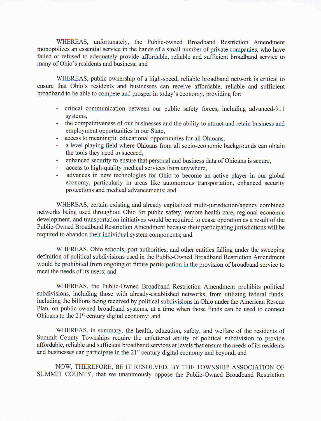WHEREAS, unfortunately, the Public-owned Broadband Restriction Amendment monopolizes an essential service in the hands of <sup>a</sup> small number of private companies, who have failed or refused to adequately provide affordable, reliable and sufficient broadband service to many of Ohio's residents and business; and

WHEREAS, public ownership of a high-speed, reliable broadband network is critical to ensure that Ohio's residents and businesses can receive affordable, reliable and sufficient broadband to be able to compete and prosper in today's economy, providing for:

- critical communication between our public safety forces, including advanced 911 systems,
- the competitiveness of our businesses and the ability to attract and retain business and employment opportunities in our State,
- access to meaningful educational opportunities for all Ohioans,
- a level playing field where Ohioans from all socio -economic backgrounds can obtain the tools they need to succeed,
- enhanced security to ensure that personal and business data of Ohioans is secure,
- access to high-quality medical services from anywhere,
- advances in new technologies for Ohio to become an active player in our global u. economy, particularly in areas like autonomous transportation, enhanced security protections and medical advancements; and

WHEREAS, certain existing and already capitalized multi-jurisdiction/agency combined networks being used throughout Ohio for public safety, remote health care, regional economic development, and transportation initiatives would be required to cease operation as <sup>a</sup> result of the Public -Owned Broadband Restriction Amendment because their participating jurisdictions will be required to abandon their individual system components; and

WHEREAS, Ohio schools, port authorities, and other entities falling under the sweeping definition of political subdivisions used in the Public -Owned Broadband Restriction Amendment would be prohibited from ongoing or future participation in the provision of broadband service to meet the needs of its users; and

WHEREAS, the Public-Owned Broadband Restriction Amendment prohibits political subdivisions, including those with already-established networks, from utilizing federal funds, including the billions being received by political subdivisions in Ohio under the American Rescue Plan, on public -owned broadband systems, at <sup>a</sup> time when those funds can be used to connect Ohioans to the 21<sup>st</sup> century digital economy; and

WHEREAS, in summary, the health, education, safety, and welfare of the residents of Summit County Townships require the unfettered ability of political subdivision to provide affordable, reliable and sufficient broadband services at levels that ensure the needs of its residents and businesses can participate in the 21<sup>st</sup> century digital economy and beyond; and

NOW, THEREFORE, BE IT RESOLVED, BY THE TOWNSHIP ASSOCIATION OF SUMMIT COUNTY, that we unanimously oppose the Public-Owned Broadband Restriction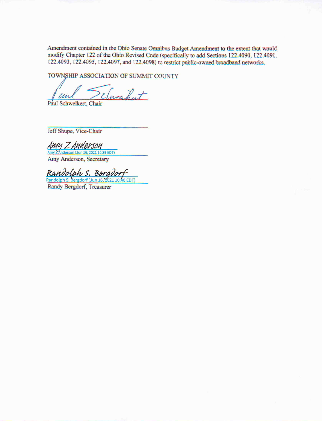Amendment contained in the Ohio Senate Omnibus Budget Amendment to the extent that would modify Chapter 122 of the Ohio Revised Code (specifically to add Sections 122.4090, 122.4091, 122.4093, 122.4095, 122.4097, and 122.4098) to restrict public -owned broadband networks.

TOWNSHIP ASSOCIATION OF SUMMIT COUNTY

 $\frac{ln l}{schweik}$ Paul Schweikert, Chair

Jeff Shupe, Vice-Chair

Amy <sup>Z</sup> Anderson Anderson ( Jun 16, 2021 10:39 EDT) Amy Anderson, Secretary

Randolph S. Bergdorf Randolph S.Bergdorf (Jun 16, <sup>2021</sup> 10:40 EDT)

Randy Bergdorf, Treasurer